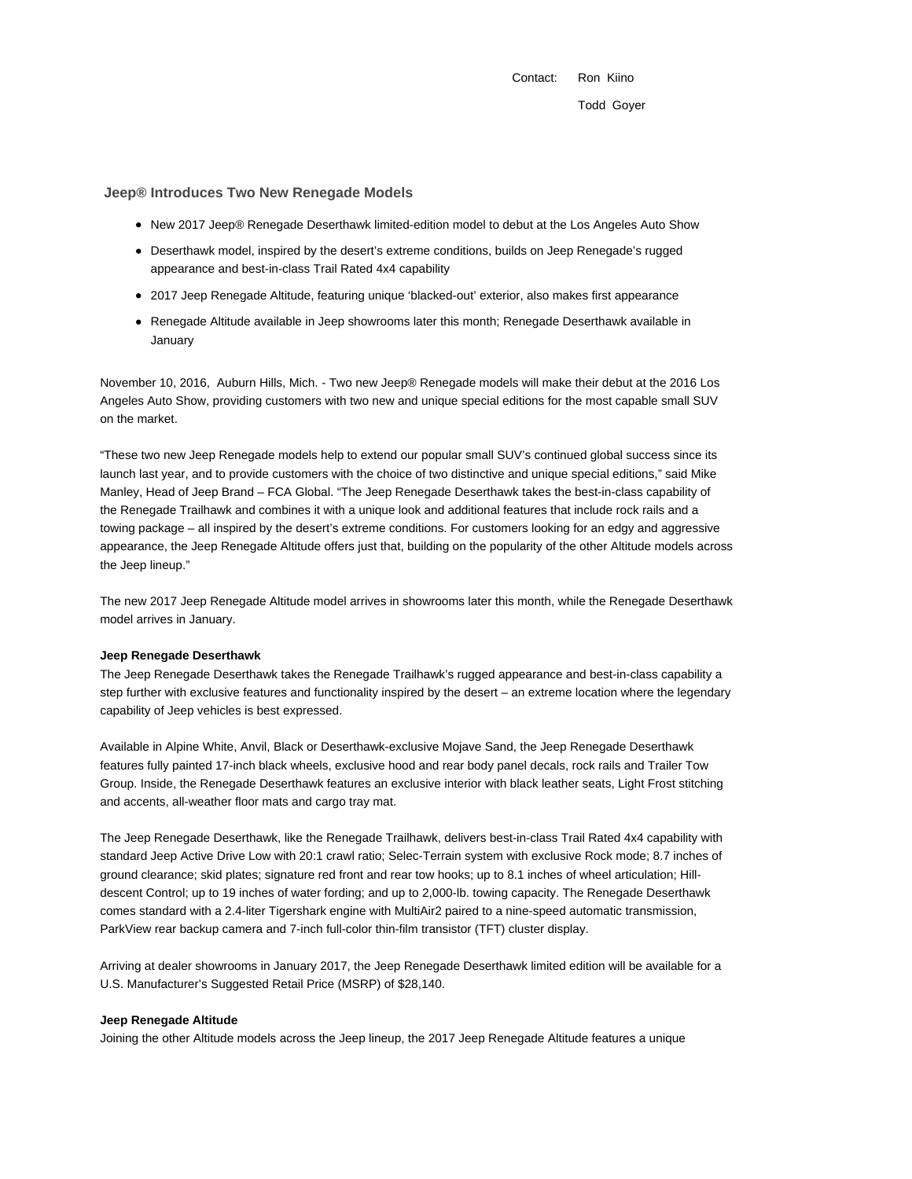Contact: Ron Kiino Todd Goyer

# **Jeep® Introduces Two New Renegade Models**

- New 2017 Jeep® Renegade Deserthawk limited-edition model to debut at the Los Angeles Auto Show
- Deserthawk model, inspired by the desert's extreme conditions, builds on Jeep Renegade's rugged appearance and best-in-class Trail Rated 4x4 capability
- 2017 Jeep Renegade Altitude, featuring unique 'blacked-out' exterior, also makes first appearance
- Renegade Altitude available in Jeep showrooms later this month; Renegade Deserthawk available in January

November 10, 2016, Auburn Hills, Mich. - Two new Jeep® Renegade models will make their debut at the 2016 Los Angeles Auto Show, providing customers with two new and unique special editions for the most capable small SUV on the market.

"These two new Jeep Renegade models help to extend our popular small SUV's continued global success since its launch last year, and to provide customers with the choice of two distinctive and unique special editions," said Mike Manley, Head of Jeep Brand – FCA Global. "The Jeep Renegade Deserthawk takes the best-in-class capability of the Renegade Trailhawk and combines it with a unique look and additional features that include rock rails and a towing package – all inspired by the desert's extreme conditions. For customers looking for an edgy and aggressive appearance, the Jeep Renegade Altitude offers just that, building on the popularity of the other Altitude models across the Jeep lineup."

The new 2017 Jeep Renegade Altitude model arrives in showrooms later this month, while the Renegade Deserthawk model arrives in January.

#### **Jeep Renegade Deserthawk**

The Jeep Renegade Deserthawk takes the Renegade Trailhawk's rugged appearance and best-in-class capability a step further with exclusive features and functionality inspired by the desert – an extreme location where the legendary capability of Jeep vehicles is best expressed.

Available in Alpine White, Anvil, Black or Deserthawk-exclusive Mojave Sand, the Jeep Renegade Deserthawk features fully painted 17-inch black wheels, exclusive hood and rear body panel decals, rock rails and Trailer Tow Group. Inside, the Renegade Deserthawk features an exclusive interior with black leather seats, Light Frost stitching and accents, all-weather floor mats and cargo tray mat.

The Jeep Renegade Deserthawk, like the Renegade Trailhawk, delivers best-in-class Trail Rated 4x4 capability with standard Jeep Active Drive Low with 20:1 crawl ratio; Selec-Terrain system with exclusive Rock mode; 8.7 inches of ground clearance; skid plates; signature red front and rear tow hooks; up to 8.1 inches of wheel articulation; Hilldescent Control; up to 19 inches of water fording; and up to 2,000-lb. towing capacity. The Renegade Deserthawk comes standard with a 2.4-liter Tigershark engine with MultiAir2 paired to a nine-speed automatic transmission, ParkView rear backup camera and 7-inch full-color thin-film transistor (TFT) cluster display.

Arriving at dealer showrooms in January 2017, the Jeep Renegade Deserthawk limited edition will be available for a U.S. Manufacturer's Suggested Retail Price (MSRP) of \$28,140.

### **Jeep Renegade Altitude**

Joining the other Altitude models across the Jeep lineup, the 2017 Jeep Renegade Altitude features a unique